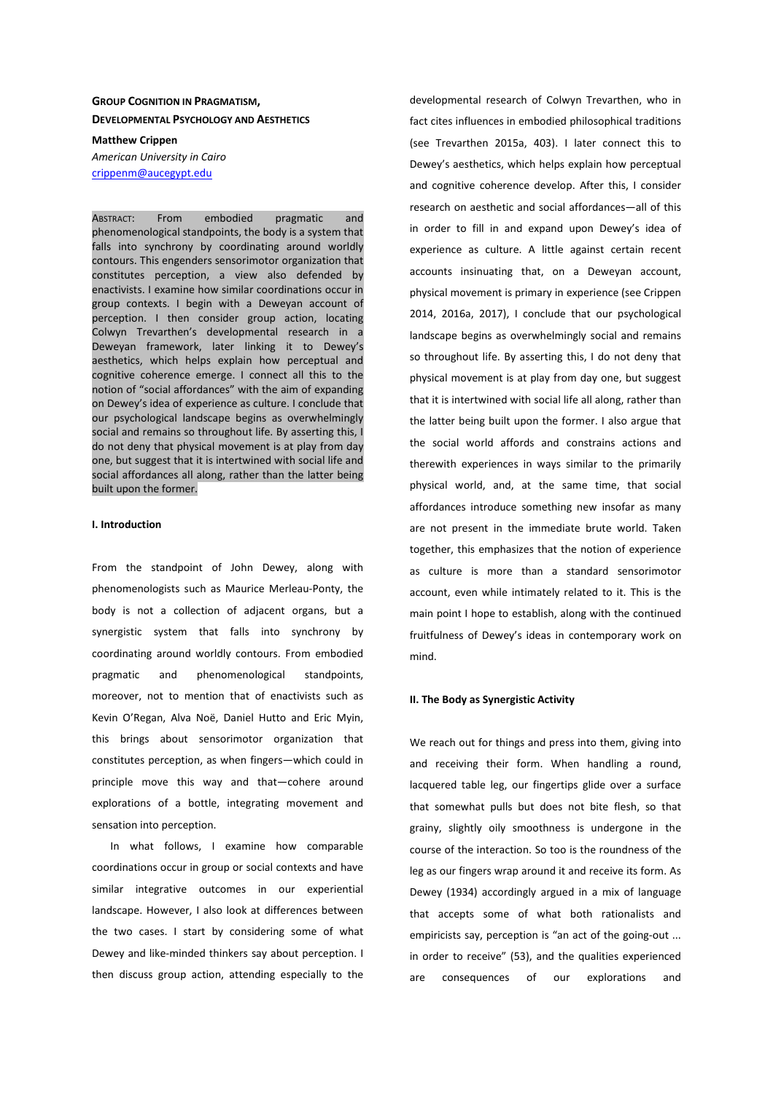# **GROUP COGNITION IN PRAGMATISM, DEVELOPMENTAL PSYCHOLOGY AND AESTHETICS**

**Matthew Crippen**  *American University in Cairo*  crippenm@aucegypt.edu

ABSTRACT: From embodied pragmatic and phenomenological standpoints, the body is a system that falls into synchrony by coordinating around worldly contours. This engenders sensorimotor organization that constitutes perception, a view also defended by enactivists. I examine how similar coordinations occur in group contexts. I begin with a Deweyan account of perception. I then consider group action, locating Colwyn Trevarthen's developmental research in a Deweyan framework, later linking it to Dewey's aesthetics, which helps explain how perceptual and cognitive coherence emerge. I connect all this to the notion of "social affordances" with the aim of expanding on Dewey's idea of experience as culture. I conclude that our psychological landscape begins as overwhelmingly social and remains so throughout life. By asserting this, I do not deny that physical movement is at play from day one, but suggest that it is intertwined with social life and social affordances all along, rather than the latter being built upon the former.

## **I. Introduction**

From the standpoint of John Dewey, along with phenomenologists such as Maurice Merleau-Ponty, the body is not a collection of adjacent organs, but a synergistic system that falls into synchrony by coordinating around worldly contours. From embodied pragmatic and phenomenological standpoints, moreover, not to mention that of enactivists such as Kevin O'Regan, Alva Noë, Daniel Hutto and Eric Myin, this brings about sensorimotor organization that constitutes perception, as when fingers—which could in principle move this way and that—cohere around explorations of a bottle, integrating movement and sensation into perception.

In what follows, I examine how comparable coordinations occur in group or social contexts and have similar integrative outcomes in our experiential landscape. However, I also look at differences between the two cases. I start by considering some of what Dewey and like-minded thinkers say about perception. I then discuss group action, attending especially to the

developmental research of Colwyn Trevarthen, who in fact cites influences in embodied philosophical traditions (see Trevarthen 2015a, 403). I later connect this to Dewey's aesthetics, which helps explain how perceptual and cognitive coherence develop. After this, I consider research on aesthetic and social affordances—all of this in order to fill in and expand upon Dewey's idea of experience as culture. A little against certain recent accounts insinuating that, on a Deweyan account, physical movement is primary in experience (see Crippen 2014, 2016a, 2017), I conclude that our psychological landscape begins as overwhelmingly social and remains so throughout life. By asserting this, I do not deny that physical movement is at play from day one, but suggest that it is intertwined with social life all along, rather than the latter being built upon the former. I also argue that the social world affords and constrains actions and therewith experiences in ways similar to the primarily physical world, and, at the same time, that social affordances introduce something new insofar as many are not present in the immediate brute world. Taken together, this emphasizes that the notion of experience as culture is more than a standard sensorimotor account, even while intimately related to it. This is the main point I hope to establish, along with the continued fruitfulness of Dewey's ideas in contemporary work on mind.

### **II. The Body as Synergistic Activity**

We reach out for things and press into them, giving into and receiving their form. When handling a round, lacquered table leg, our fingertips glide over a surface that somewhat pulls but does not bite flesh, so that grainy, slightly oily smoothness is undergone in the course of the interaction. So too is the roundness of the leg as our fingers wrap around it and receive its form. As Dewey (1934) accordingly argued in a mix of language that accepts some of what both rationalists and empiricists say, perception is "an act of the going-out ... in order to receive" (53), and the qualities experienced are consequences of our explorations and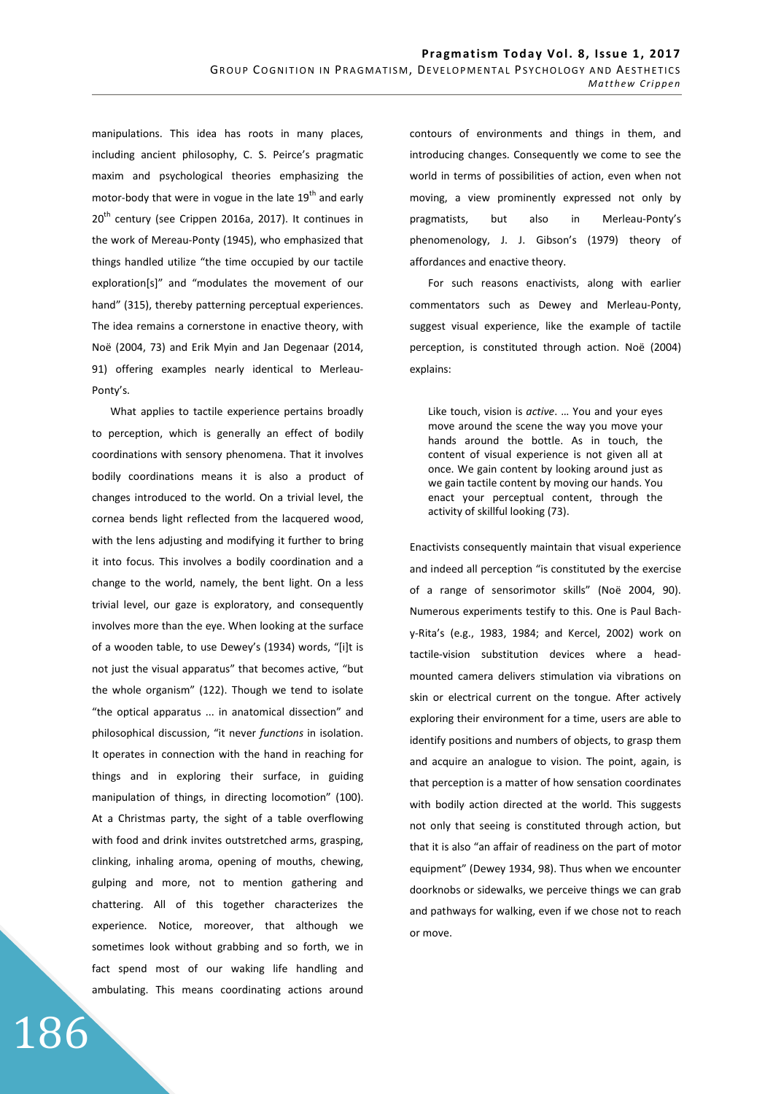manipulations. This idea has roots in many places, including ancient philosophy, C. S. Peirce's pragmatic maxim and psychological theories emphasizing the motor-body that were in vogue in the late  $19<sup>th</sup>$  and early 20<sup>th</sup> century (see Crippen 2016a, 2017). It continues in the work of Mereau-Ponty (1945), who emphasized that things handled utilize "the time occupied by our tactile exploration[s]" and "modulates the movement of our hand" (315), thereby patterning perceptual experiences. The idea remains a cornerstone in enactive theory, with Noë (2004, 73) and Erik Myin and Jan Degenaar (2014, 91) offering examples nearly identical to Merleau-Ponty's.

What applies to tactile experience pertains broadly to perception, which is generally an effect of bodily coordinations with sensory phenomena. That it involves bodily coordinations means it is also a product of changes introduced to the world. On a trivial level, the cornea bends light reflected from the lacquered wood, with the lens adjusting and modifying it further to bring it into focus. This involves a bodily coordination and a change to the world, namely, the bent light. On a less trivial level, our gaze is exploratory, and consequently involves more than the eye. When looking at the surface of a wooden table, to use Dewey's (1934) words, "[i]t is not just the visual apparatus" that becomes active, "but the whole organism" (122). Though we tend to isolate "the optical apparatus ... in anatomical dissection" and philosophical discussion, "it never *functions* in isolation. It operates in connection with the hand in reaching for things and in exploring their surface, in guiding manipulation of things, in directing locomotion" (100). At a Christmas party, the sight of a table overflowing with food and drink invites outstretched arms, grasping, clinking, inhaling aroma, opening of mouths, chewing, gulping and more, not to mention gathering and chattering. All of this together characterizes the experience. Notice, moreover, that although we sometimes look without grabbing and so forth, we in fact spend most of our waking life handling and ambulating. This means coordinating actions around

186

contours of environments and things in them, and introducing changes. Consequently we come to see the world in terms of possibilities of action, even when not moving, a view prominently expressed not only by pragmatists, but also in Merleau-Ponty's phenomenology, J. J. Gibson's (1979) theory of affordances and enactive theory.

For such reasons enactivists, along with earlier commentators such as Dewey and Merleau-Ponty, suggest visual experience, like the example of tactile perception, is constituted through action. Noë (2004) explains:

Like touch, vision is *active*. … You and your eyes move around the scene the way you move your hands around the bottle. As in touch, the content of visual experience is not given all at once. We gain content by looking around just as we gain tactile content by moving our hands. You enact your perceptual content, through the activity of skillful looking (73).

Enactivists consequently maintain that visual experience and indeed all perception "is constituted by the exercise of a range of sensorimotor skills" (Noë 2004, 90). Numerous experiments testify to this. One is Paul Bachy-Rita's (e.g., 1983, 1984; and Kercel, 2002) work on tactile-vision substitution devices where a headmounted camera delivers stimulation via vibrations on skin or electrical current on the tongue. After actively exploring their environment for a time, users are able to identify positions and numbers of objects, to grasp them and acquire an analogue to vision. The point, again, is that perception is a matter of how sensation coordinates with bodily action directed at the world. This suggests not only that seeing is constituted through action, but that it is also "an affair of readiness on the part of motor equipment" (Dewey 1934, 98). Thus when we encounter doorknobs or sidewalks, we perceive things we can grab and pathways for walking, even if we chose not to reach or move.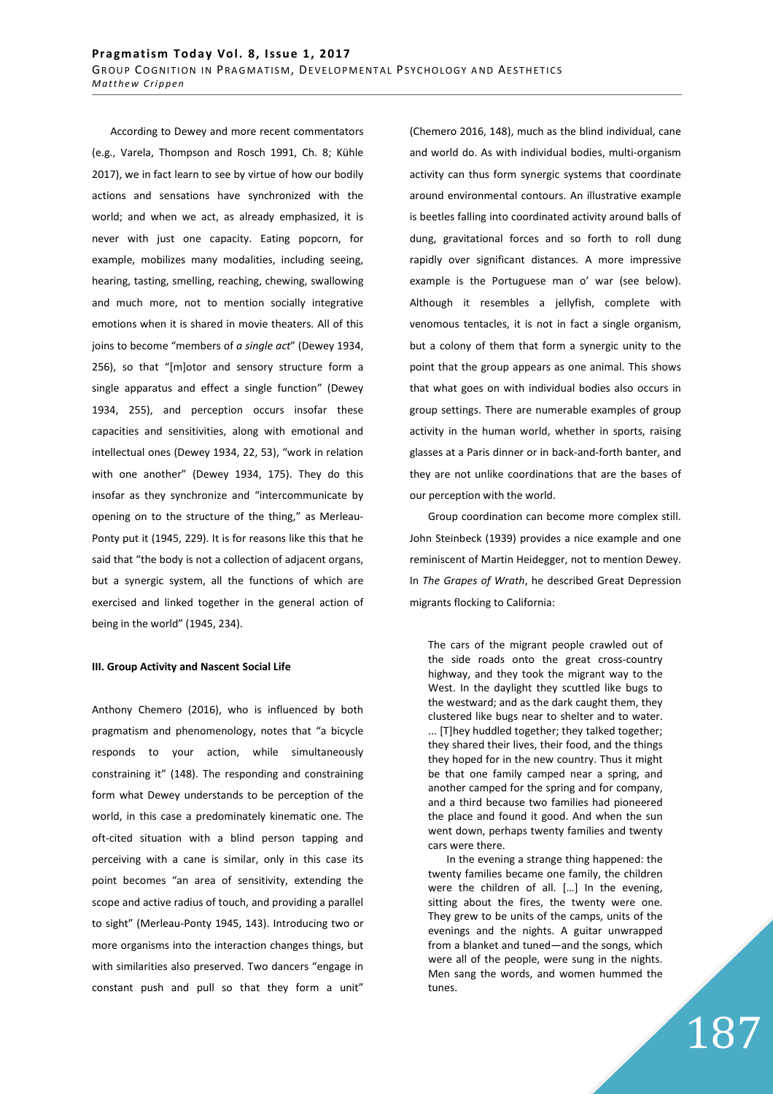According to Dewey and more recent commentators (e.g., Varela, Thompson and Rosch 1991, Ch. 8; Kühle 2017), we in fact learn to see by virtue of how our bodily actions and sensations have synchronized with the world; and when we act, as already emphasized, it is never with just one capacity. Eating popcorn, for example, mobilizes many modalities, including seeing, hearing, tasting, smelling, reaching, chewing, swallowing and much more, not to mention socially integrative emotions when it is shared in movie theaters. All of this joins to become "members of *a single act*" (Dewey 1934, 256), so that "[m]otor and sensory structure form a single apparatus and effect a single function" (Dewey 1934, 255), and perception occurs insofar these capacities and sensitivities, along with emotional and intellectual ones (Dewey 1934, 22, 53), "work in relation with one another" (Dewey 1934, 175). They do this insofar as they synchronize and "intercommunicate by opening on to the structure of the thing," as Merleau-Ponty put it (1945, 229). It is for reasons like this that he said that "the body is not a collection of adjacent organs, but a synergic system, all the functions of which are exercised and linked together in the general action of being in the world" (1945, 234).

### **III. Group Activity and Nascent Social Life**

Anthony Chemero (2016), who is influenced by both pragmatism and phenomenology, notes that "a bicycle responds to your action, while simultaneously constraining it" (148). The responding and constraining form what Dewey understands to be perception of the world, in this case a predominately kinematic one. The oft-cited situation with a blind person tapping and perceiving with a cane is similar, only in this case its point becomes "an area of sensitivity, extending the scope and active radius of touch, and providing a parallel to sight" (Merleau-Ponty 1945, 143). Introducing two or more organisms into the interaction changes things, but with similarities also preserved. Two dancers "engage in constant push and pull so that they form a unit" (Chemero 2016, 148), much as the blind individual, cane and world do. As with individual bodies, multi-organism activity can thus form synergic systems that coordinate around environmental contours. An illustrative example is beetles falling into coordinated activity around balls of dung, gravitational forces and so forth to roll dung rapidly over significant distances. A more impressive example is the Portuguese man o' war (see below). Although it resembles a jellyfish, complete with venomous tentacles, it is not in fact a single organism, but a colony of them that form a synergic unity to the point that the group appears as one animal. This shows that what goes on with individual bodies also occurs in group settings. There are numerable examples of group activity in the human world, whether in sports, raising glasses at a Paris dinner or in back-and-forth banter, and they are not unlike coordinations that are the bases of our perception with the world.

Group coordination can become more complex still. John Steinbeck (1939) provides a nice example and one reminiscent of Martin Heidegger, not to mention Dewey. In *The Grapes of Wrath*, he described Great Depression migrants flocking to California:

The cars of the migrant people crawled out of the side roads onto the great cross-country highway, and they took the migrant way to the West. In the daylight they scuttled like bugs to the westward; and as the dark caught them, they clustered like bugs near to shelter and to water. ... [T]hey huddled together; they talked together; they shared their lives, their food, and the things they hoped for in the new country. Thus it might be that one family camped near a spring, and another camped for the spring and for company, and a third because two families had pioneered the place and found it good. And when the sun went down, perhaps twenty families and twenty cars were there.

In the evening a strange thing happened: the twenty families became one family, the children were the children of all. […] In the evening, sitting about the fires, the twenty were one. They grew to be units of the camps, units of the evenings and the nights. A guitar unwrapped from a blanket and tuned—and the songs, which were all of the people, were sung in the nights. Men sang the words, and women hummed the tunes.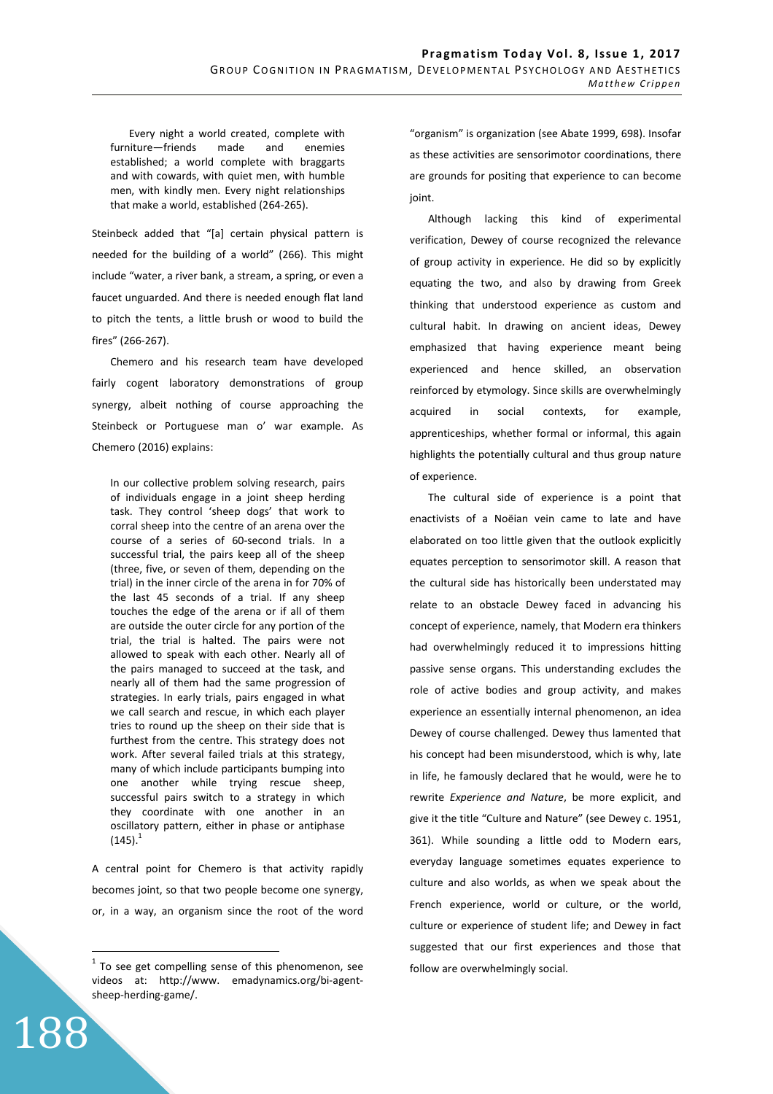Every night a world created, complete with furniture—friends made and enemies established; a world complete with braggarts and with cowards, with quiet men, with humble men, with kindly men. Every night relationships that make a world, established (264-265).

Steinbeck added that "[a] certain physical pattern is needed for the building of a world" (266). This might include "water, a river bank, a stream, a spring, or even a faucet unguarded. And there is needed enough flat land to pitch the tents, a little brush or wood to build the fires" (266-267).

Chemero and his research team have developed fairly cogent laboratory demonstrations of group synergy, albeit nothing of course approaching the Steinbeck or Portuguese man o' war example. As Chemero (2016) explains:

In our collective problem solving research, pairs of individuals engage in a joint sheep herding task. They control 'sheep dogs' that work to corral sheep into the centre of an arena over the course of a series of 60-second trials. In a successful trial, the pairs keep all of the sheep (three, five, or seven of them, depending on the trial) in the inner circle of the arena in for 70% of the last 45 seconds of a trial. If any sheep touches the edge of the arena or if all of them are outside the outer circle for any portion of the trial, the trial is halted. The pairs were not allowed to speak with each other. Nearly all of the pairs managed to succeed at the task, and nearly all of them had the same progression of strategies. In early trials, pairs engaged in what we call search and rescue, in which each player tries to round up the sheep on their side that is furthest from the centre. This strategy does not work. After several failed trials at this strategy, many of which include participants bumping into one another while trying rescue sheep, successful pairs switch to a strategy in which they coordinate with one another in an oscillatory pattern, either in phase or antiphase  $(145).$ <sup>1</sup>

A central point for Chemero is that activity rapidly becomes joint, so that two people become one synergy, or, in a way, an organism since the root of the word

188

 $\overline{a}$ 

"organism" is organization (see Abate 1999, 698). Insofar as these activities are sensorimotor coordinations, there are grounds for positing that experience to can become joint.

Although lacking this kind of experimental verification, Dewey of course recognized the relevance of group activity in experience. He did so by explicitly equating the two, and also by drawing from Greek thinking that understood experience as custom and cultural habit. In drawing on ancient ideas, Dewey emphasized that having experience meant being experienced and hence skilled, an observation reinforced by etymology. Since skills are overwhelmingly acquired in social contexts, for example, apprenticeships, whether formal or informal, this again highlights the potentially cultural and thus group nature of experience.

The cultural side of experience is a point that enactivists of a Noëian vein came to late and have elaborated on too little given that the outlook explicitly equates perception to sensorimotor skill. A reason that the cultural side has historically been understated may relate to an obstacle Dewey faced in advancing his concept of experience, namely, that Modern era thinkers had overwhelmingly reduced it to impressions hitting passive sense organs. This understanding excludes the role of active bodies and group activity, and makes experience an essentially internal phenomenon, an idea Dewey of course challenged. Dewey thus lamented that his concept had been misunderstood, which is why, late in life, he famously declared that he would, were he to rewrite *Experience and Nature*, be more explicit, and give it the title "Culture and Nature" (see Dewey c. 1951, 361). While sounding a little odd to Modern ears, everyday language sometimes equates experience to culture and also worlds, as when we speak about the French experience, world or culture, or the world, culture or experience of student life; and Dewey in fact suggested that our first experiences and those that follow are overwhelmingly social.

 $1$  To see get compelling sense of this phenomenon, see videos at: http://www. emadynamics.org/bi-agentsheep-herding-game/.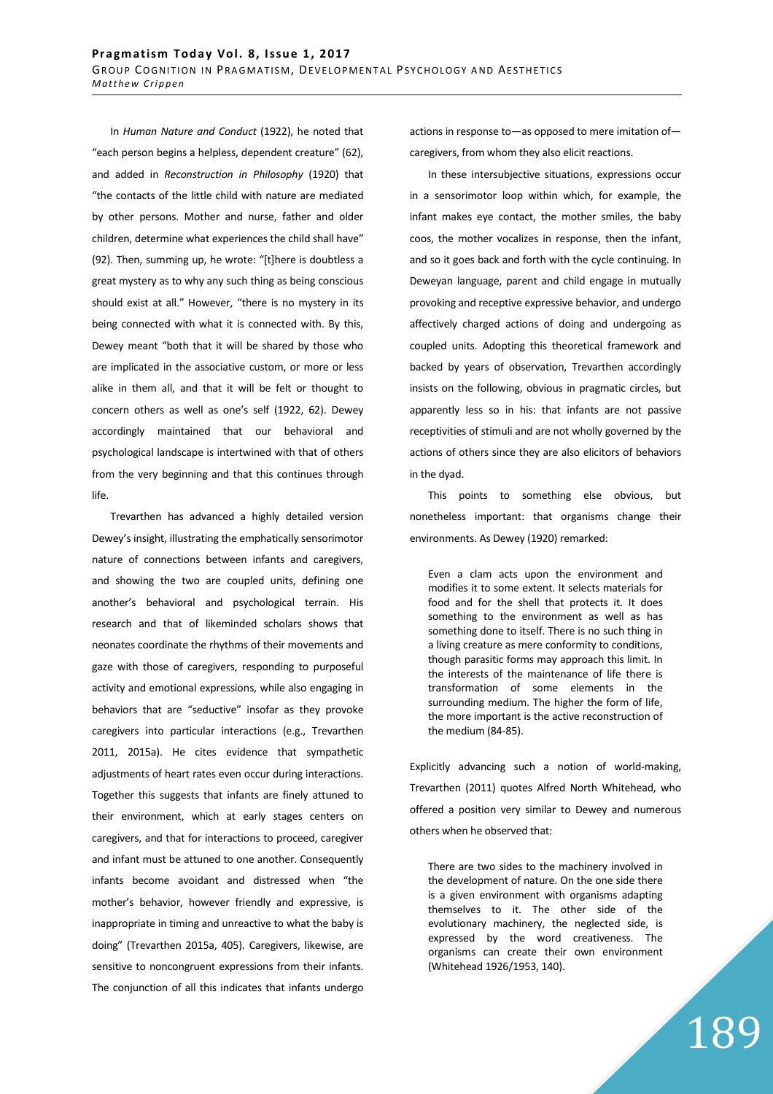In *Human Nature and Conduct* (1922), he noted that "each person begins a helpless, dependent creature" (62), and added in *Reconstruction in Philosophy* (1920) that "the contacts of the little child with nature are mediated by other persons. Mother and nurse, father and older children, determine what experiences the child shall have" (92). Then, summing up, he wrote: "[t]here is doubtless a great mystery as to why any such thing as being conscious should exist at all." However, "there is no mystery in its being connected with what it is connected with. By this, Dewey meant "both that it will be shared by those who are implicated in the associative custom, or more or less alike in them all, and that it will be felt or thought to concern others as well as one's self (1922, 62). Dewey accordingly maintained that our behavioral and psychological landscape is intertwined with that of others from the very beginning and that this continues through life.

Trevarthen has advanced a highly detailed version Dewey's insight, illustrating the emphatically sensorimotor nature of connections between infants and caregivers, and showing the two are coupled units, defining one another's behavioral and psychological terrain. His research and that of likeminded scholars shows that neonates coordinate the rhythms of their movements and gaze with those of caregivers, responding to purposeful activity and emotional expressions, while also engaging in behaviors that are "seductive" insofar as they provoke caregivers into particular interactions (e.g., Trevarthen 2011, 2015a). He cites evidence that sympathetic adjustments of heart rates even occur during interactions. Together this suggests that infants are finely attuned to their environment, which at early stages centers on caregivers, and that for interactions to proceed, caregiver and infant must be attuned to one another. Consequently infants become avoidant and distressed when "the mother's behavior, however friendly and expressive, is inappropriate in timing and unreactive to what the baby is doing" (Trevarthen 2015a, 405). Caregivers, likewise, are sensitive to noncongruent expressions from their infants. The conjunction of all this indicates that infants undergo actions in response to—as opposed to mere imitation of caregivers, from whom they also elicit reactions.

In these intersubjective situations, expressions occur in a sensorimotor loop within which, for example, the infant makes eye contact, the mother smiles, the baby coos, the mother vocalizes in response, then the infant, and so it goes back and forth with the cycle continuing. In Deweyan language, parent and child engage in mutually provoking and receptive expressive behavior, and undergo affectively charged actions of doing and undergoing as coupled units. Adopting this theoretical framework and backed by years of observation, Trevarthen accordingly insists on the following, obvious in pragmatic circles, but apparently less so in his: that infants are not passive receptivities of stimuli and are not wholly governed by the actions of others since they are also elicitors of behaviors in the dyad.

This points to something else obvious, but nonetheless important: that organisms change their environments. As Dewey (1920) remarked:

Even a clam acts upon the environment and modifies it to some extent. It selects materials for food and for the shell that protects it. It does something to the environment as well as has something done to itself. There is no such thing in a living creature as mere conformity to conditions, though parasitic forms may approach this limit. In the interests of the maintenance of life there is transformation of some elements in the surrounding medium. The higher the form of life, the more important is the active reconstruction of the medium (84-85).

Explicitly advancing such a notion of world-making, Trevarthen (2011) quotes Alfred North Whitehead, who offered a position very similar to Dewey and numerous others when he observed that:

There are two sides to the machinery involved in the development of nature. On the one side there is a given environment with organisms adapting themselves to it. The other side of the evolutionary machinery, the neglected side, is expressed by the word creativeness. The organisms can create their own environment (Whitehead 1926/1953, 140).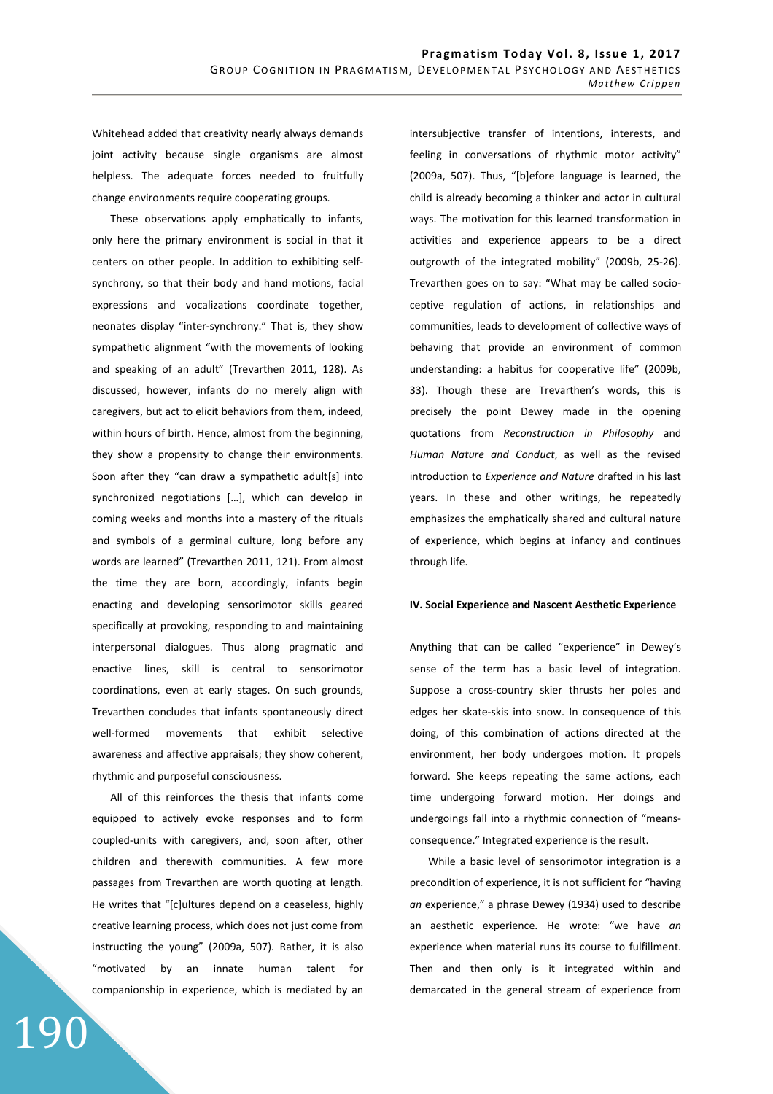Whitehead added that creativity nearly always demands joint activity because single organisms are almost helpless. The adequate forces needed to fruitfully change environments require cooperating groups.

These observations apply emphatically to infants, only here the primary environment is social in that it centers on other people. In addition to exhibiting selfsynchrony, so that their body and hand motions, facial expressions and vocalizations coordinate together, neonates display "inter-synchrony." That is, they show sympathetic alignment "with the movements of looking and speaking of an adult" (Trevarthen 2011, 128). As discussed, however, infants do no merely align with caregivers, but act to elicit behaviors from them, indeed, within hours of birth. Hence, almost from the beginning, they show a propensity to change their environments. Soon after they "can draw a sympathetic adult[s] into synchronized negotiations […], which can develop in coming weeks and months into a mastery of the rituals and symbols of a germinal culture, long before any words are learned" (Trevarthen 2011, 121). From almost the time they are born, accordingly, infants begin enacting and developing sensorimotor skills geared specifically at provoking, responding to and maintaining interpersonal dialogues. Thus along pragmatic and enactive lines, skill is central to sensorimotor coordinations, even at early stages. On such grounds, Trevarthen concludes that infants spontaneously direct well-formed movements that exhibit selective awareness and affective appraisals; they show coherent, rhythmic and purposeful consciousness.

All of this reinforces the thesis that infants come equipped to actively evoke responses and to form coupled-units with caregivers, and, soon after, other children and therewith communities. A few more passages from Trevarthen are worth quoting at length. He writes that "[c]ultures depend on a ceaseless, highly creative learning process, which does not just come from instructing the young" (2009a, 507). Rather, it is also "motivated by an innate human talent for companionship in experience, which is mediated by an

190

intersubjective transfer of intentions, interests, and feeling in conversations of rhythmic motor activity" (2009a, 507). Thus, "[b]efore language is learned, the child is already becoming a thinker and actor in cultural ways. The motivation for this learned transformation in activities and experience appears to be a direct outgrowth of the integrated mobility" (2009b, 25-26). Trevarthen goes on to say: "What may be called socioceptive regulation of actions, in relationships and communities, leads to development of collective ways of behaving that provide an environment of common understanding: a habitus for cooperative life" (2009b, 33). Though these are Trevarthen's words, this is precisely the point Dewey made in the opening quotations from *Reconstruction in Philosophy* and *Human Nature and Conduct*, as well as the revised introduction to *Experience and Nature* drafted in his last years. In these and other writings, he repeatedly emphasizes the emphatically shared and cultural nature of experience, which begins at infancy and continues through life.

### **IV. Social Experience and Nascent Aesthetic Experience**

Anything that can be called "experience" in Dewey's sense of the term has a basic level of integration. Suppose a cross-country skier thrusts her poles and edges her skate-skis into snow. In consequence of this doing, of this combination of actions directed at the environment, her body undergoes motion. It propels forward. She keeps repeating the same actions, each time undergoing forward motion. Her doings and undergoings fall into a rhythmic connection of "meansconsequence." Integrated experience is the result.

While a basic level of sensorimotor integration is a precondition of experience, it is not sufficient for "having *an* experience," a phrase Dewey (1934) used to describe an aesthetic experience. He wrote: "we have *an*  experience when material runs its course to fulfillment. Then and then only is it integrated within and demarcated in the general stream of experience from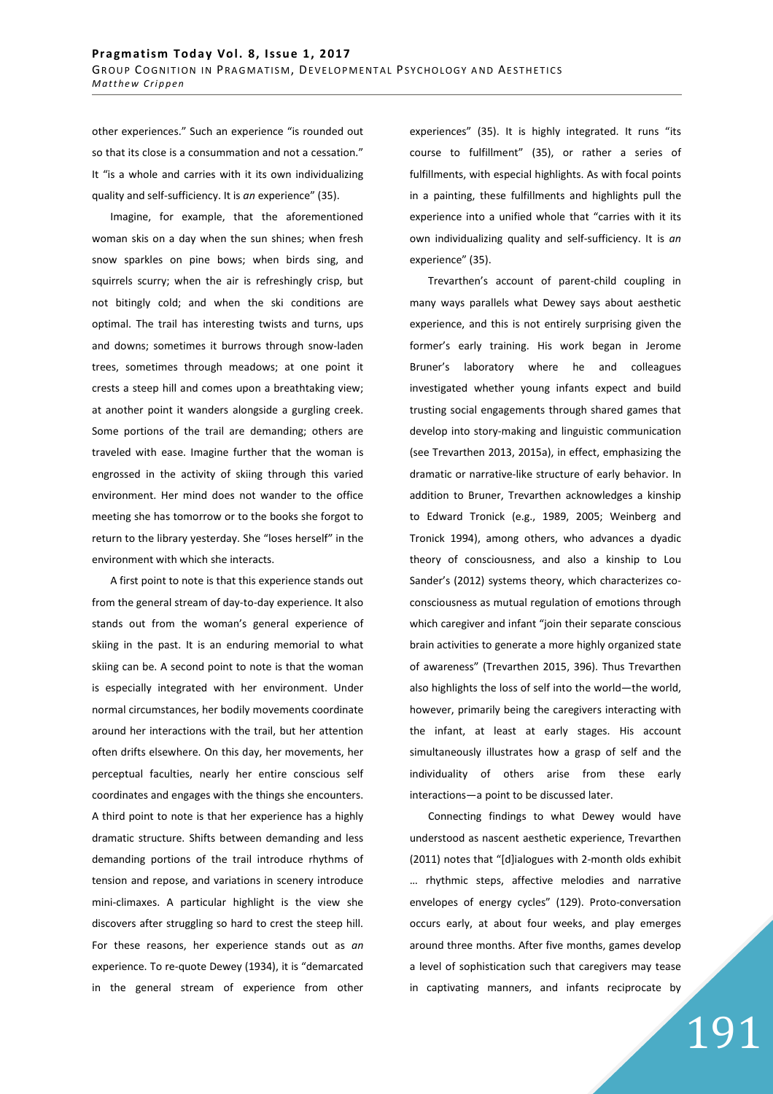other experiences." Such an experience "is rounded out so that its close is a consummation and not a cessation." It "is a whole and carries with it its own individualizing quality and self-sufficiency. It is *an* experience" (35).

Imagine, for example, that the aforementioned woman skis on a day when the sun shines; when fresh snow sparkles on pine bows; when birds sing, and squirrels scurry; when the air is refreshingly crisp, but not bitingly cold; and when the ski conditions are optimal. The trail has interesting twists and turns, ups and downs; sometimes it burrows through snow-laden trees, sometimes through meadows; at one point it crests a steep hill and comes upon a breathtaking view; at another point it wanders alongside a gurgling creek. Some portions of the trail are demanding; others are traveled with ease. Imagine further that the woman is engrossed in the activity of skiing through this varied environment. Her mind does not wander to the office meeting she has tomorrow or to the books she forgot to return to the library yesterday. She "loses herself" in the environment with which she interacts.

A first point to note is that this experience stands out from the general stream of day-to-day experience. It also stands out from the woman's general experience of skiing in the past. It is an enduring memorial to what skiing can be. A second point to note is that the woman is especially integrated with her environment. Under normal circumstances, her bodily movements coordinate around her interactions with the trail, but her attention often drifts elsewhere. On this day, her movements, her perceptual faculties, nearly her entire conscious self coordinates and engages with the things she encounters. A third point to note is that her experience has a highly dramatic structure. Shifts between demanding and less demanding portions of the trail introduce rhythms of tension and repose, and variations in scenery introduce mini-climaxes. A particular highlight is the view she discovers after struggling so hard to crest the steep hill. For these reasons, her experience stands out as *an* experience. To re-quote Dewey (1934), it is "demarcated in the general stream of experience from other experiences" (35). It is highly integrated. It runs "its course to fulfillment" (35), or rather a series of fulfillments, with especial highlights. As with focal points in a painting, these fulfillments and highlights pull the experience into a unified whole that "carries with it its own individualizing quality and self-sufficiency. It is *an* experience" (35).

Trevarthen's account of parent-child coupling in many ways parallels what Dewey says about aesthetic experience, and this is not entirely surprising given the former's early training. His work began in Jerome Bruner's laboratory where he and colleagues investigated whether young infants expect and build trusting social engagements through shared games that develop into story-making and linguistic communication (see Trevarthen 2013, 2015a), in effect, emphasizing the dramatic or narrative-like structure of early behavior. In addition to Bruner, Trevarthen acknowledges a kinship to Edward Tronick (e.g., 1989, 2005; Weinberg and Tronick 1994), among others, who advances a dyadic theory of consciousness, and also a kinship to Lou Sander's (2012) systems theory, which characterizes coconsciousness as mutual regulation of emotions through which caregiver and infant "join their separate conscious brain activities to generate a more highly organized state of awareness" (Trevarthen 2015, 396). Thus Trevarthen also highlights the loss of self into the world—the world, however, primarily being the caregivers interacting with the infant, at least at early stages. His account simultaneously illustrates how a grasp of self and the individuality of others arise from these early interactions—a point to be discussed later.

Connecting findings to what Dewey would have understood as nascent aesthetic experience, Trevarthen (2011) notes that "[d]ialogues with 2-month olds exhibit … rhythmic steps, affective melodies and narrative envelopes of energy cycles" (129). Proto-conversation occurs early, at about four weeks, and play emerges around three months. After five months, games develop a level of sophistication such that caregivers may tease in captivating manners, and infants reciprocate by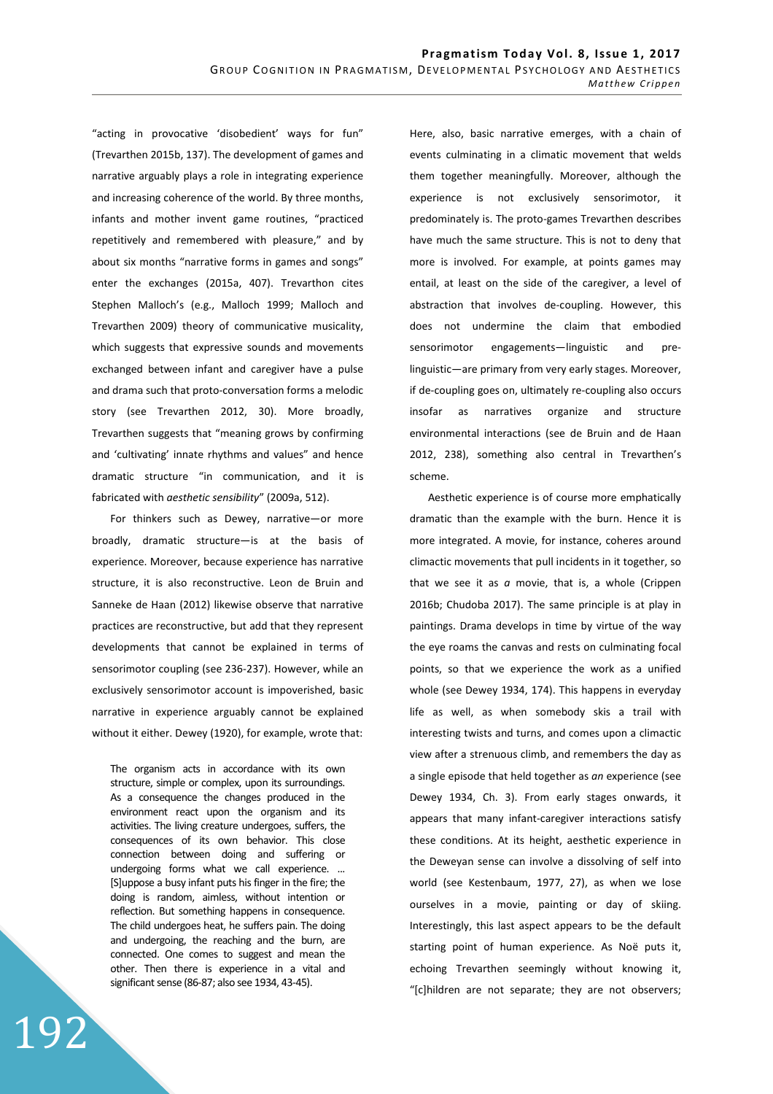"acting in provocative 'disobedient' ways for fun" (Trevarthen 2015b, 137). The development of games and narrative arguably plays a role in integrating experience and increasing coherence of the world. By three months, infants and mother invent game routines, "practiced repetitively and remembered with pleasure," and by about six months "narrative forms in games and songs" enter the exchanges (2015a, 407). Trevarthon cites Stephen Malloch's (e.g., Malloch 1999; Malloch and Trevarthen 2009) theory of communicative musicality, which suggests that expressive sounds and movements exchanged between infant and caregiver have a pulse and drama such that proto-conversation forms a melodic story (see Trevarthen 2012, 30). More broadly, Trevarthen suggests that "meaning grows by confirming and 'cultivating' innate rhythms and values" and hence dramatic structure "in communication, and it is fabricated with *aesthetic sensibility*" (2009a, 512).

For thinkers such as Dewey, narrative—or more broadly, dramatic structure—is at the basis of experience. Moreover, because experience has narrative structure, it is also reconstructive. Leon de Bruin and Sanneke de Haan (2012) likewise observe that narrative practices are reconstructive, but add that they represent developments that cannot be explained in terms of sensorimotor coupling (see 236-237). However, while an exclusively sensorimotor account is impoverished, basic narrative in experience arguably cannot be explained without it either. Dewey (1920), for example, wrote that:

The organism acts in accordance with its own structure, simple or complex, upon its surroundings. As a consequence the changes produced in the environment react upon the organism and its activities. The living creature undergoes, suffers, the consequences of its own behavior. This close connection between doing and suffering or undergoing forms what we call experience. ... [S]uppose a busy infant puts his finger in the fire; the doing is random, aimless, without intention or reflection. But something happens in consequence. The child undergoes heat, he suffers pain. The doing and undergoing, the reaching and the burn, are connected. One comes to suggest and mean the other. Then there is experience in a vital and significant sense (86-87; also see 1934, 43-45).

Here, also, basic narrative emerges, with a chain of events culminating in a climatic movement that welds them together meaningfully. Moreover, although the experience is not exclusively sensorimotor, it predominately is. The proto-games Trevarthen describes have much the same structure. This is not to deny that more is involved. For example, at points games may entail, at least on the side of the caregiver, a level of abstraction that involves de-coupling. However, this does not undermine the claim that embodied sensorimotor engagements—linguistic and prelinguistic—are primary from very early stages. Moreover, if de-coupling goes on, ultimately re-coupling also occurs insofar as narratives organize and structure environmental interactions (see de Bruin and de Haan 2012, 238), something also central in Trevarthen's scheme.

Aesthetic experience is of course more emphatically dramatic than the example with the burn. Hence it is more integrated. A movie, for instance, coheres around climactic movements that pull incidents in it together, so that we see it as *a* movie, that is, a whole (Crippen 2016b; Chudoba 2017). The same principle is at play in paintings. Drama develops in time by virtue of the way the eye roams the canvas and rests on culminating focal points, so that we experience the work as a unified whole (see Dewey 1934, 174). This happens in everyday life as well, as when somebody skis a trail with interesting twists and turns, and comes upon a climactic view after a strenuous climb, and remembers the day as a single episode that held together as *an* experience (see Dewey 1934, Ch. 3). From early stages onwards, it appears that many infant-caregiver interactions satisfy these conditions. At its height, aesthetic experience in the Deweyan sense can involve a dissolving of self into world (see Kestenbaum, 1977, 27), as when we lose ourselves in a movie, painting or day of skiing. Interestingly, this last aspect appears to be the default starting point of human experience. As Noë puts it, echoing Trevarthen seemingly without knowing it, "[c]hildren are not separate; they are not observers;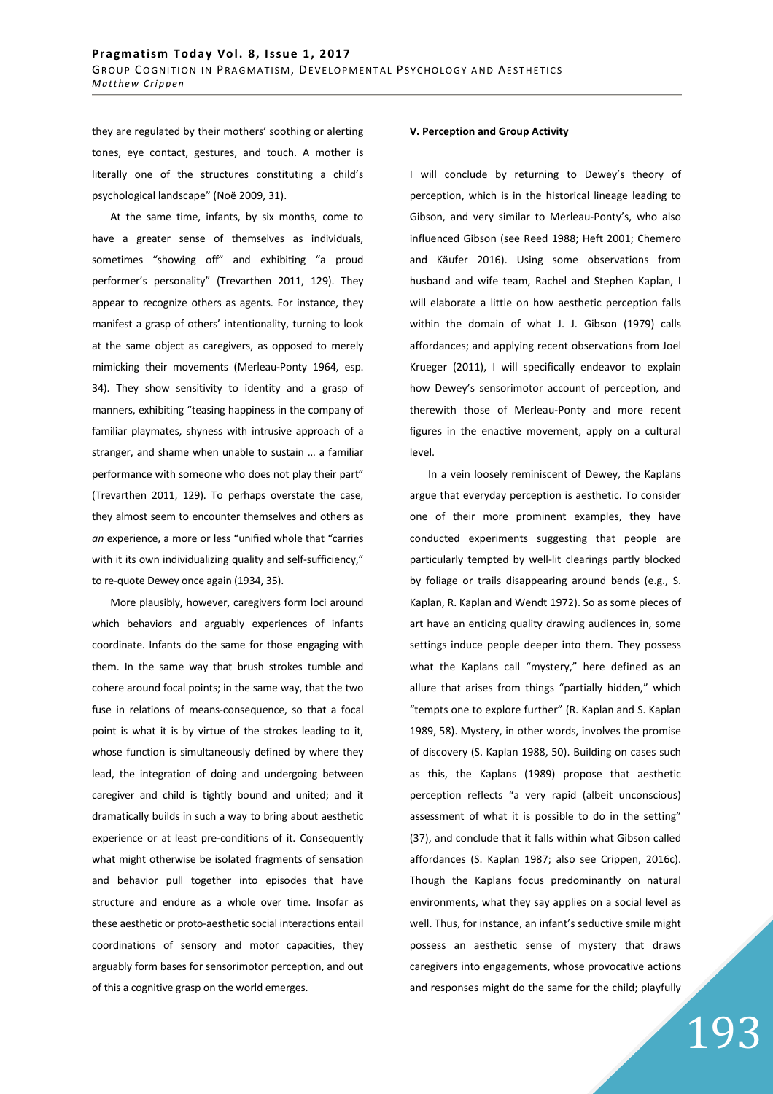they are regulated by their mothers' soothing or alerting tones, eye contact, gestures, and touch. A mother is literally one of the structures constituting a child's psychological landscape" (Noë 2009, 31).

At the same time, infants, by six months, come to have a greater sense of themselves as individuals, sometimes "showing off" and exhibiting "a proud performer's personality" (Trevarthen 2011, 129). They appear to recognize others as agents. For instance, they manifest a grasp of others' intentionality, turning to look at the same object as caregivers, as opposed to merely mimicking their movements (Merleau-Ponty 1964, esp. 34). They show sensitivity to identity and a grasp of manners, exhibiting "teasing happiness in the company of familiar playmates, shyness with intrusive approach of a stranger, and shame when unable to sustain … a familiar performance with someone who does not play their part" (Trevarthen 2011, 129). To perhaps overstate the case, they almost seem to encounter themselves and others as *an* experience, a more or less "unified whole that "carries with it its own individualizing quality and self-sufficiency," to re-quote Dewey once again (1934, 35).

More plausibly, however, caregivers form loci around which behaviors and arguably experiences of infants coordinate. Infants do the same for those engaging with them. In the same way that brush strokes tumble and cohere around focal points; in the same way, that the two fuse in relations of means-consequence, so that a focal point is what it is by virtue of the strokes leading to it, whose function is simultaneously defined by where they lead, the integration of doing and undergoing between caregiver and child is tightly bound and united; and it dramatically builds in such a way to bring about aesthetic experience or at least pre-conditions of it. Consequently what might otherwise be isolated fragments of sensation and behavior pull together into episodes that have structure and endure as a whole over time. Insofar as these aesthetic or proto-aesthetic social interactions entail coordinations of sensory and motor capacities, they arguably form bases for sensorimotor perception, and out of this a cognitive grasp on the world emerges.

### **V. Perception and Group Activity**

I will conclude by returning to Dewey's theory of perception, which is in the historical lineage leading to Gibson, and very similar to Merleau-Ponty's, who also influenced Gibson (see Reed 1988; Heft 2001; Chemero and Käufer 2016). Using some observations from husband and wife team, Rachel and Stephen Kaplan, I will elaborate a little on how aesthetic perception falls within the domain of what J. J. Gibson (1979) calls affordances; and applying recent observations from Joel Krueger (2011), I will specifically endeavor to explain how Dewey's sensorimotor account of perception, and therewith those of Merleau-Ponty and more recent figures in the enactive movement, apply on a cultural level.

In a vein loosely reminiscent of Dewey, the Kaplans argue that everyday perception is aesthetic. To consider one of their more prominent examples, they have conducted experiments suggesting that people are particularly tempted by well-lit clearings partly blocked by foliage or trails disappearing around bends (e.g., S. Kaplan, R. Kaplan and Wendt 1972). So as some pieces of art have an enticing quality drawing audiences in, some settings induce people deeper into them. They possess what the Kaplans call "mystery," here defined as an allure that arises from things "partially hidden," which "tempts one to explore further" (R. Kaplan and S. Kaplan 1989, 58). Mystery, in other words, involves the promise of discovery (S. Kaplan 1988, 50). Building on cases such as this, the Kaplans (1989) propose that aesthetic perception reflects "a very rapid (albeit unconscious) assessment of what it is possible to do in the setting" (37), and conclude that it falls within what Gibson called affordances (S. Kaplan 1987; also see Crippen, 2016c). Though the Kaplans focus predominantly on natural environments, what they say applies on a social level as well. Thus, for instance, an infant's seductive smile might possess an aesthetic sense of mystery that draws caregivers into engagements, whose provocative actions and responses might do the same for the child; playfully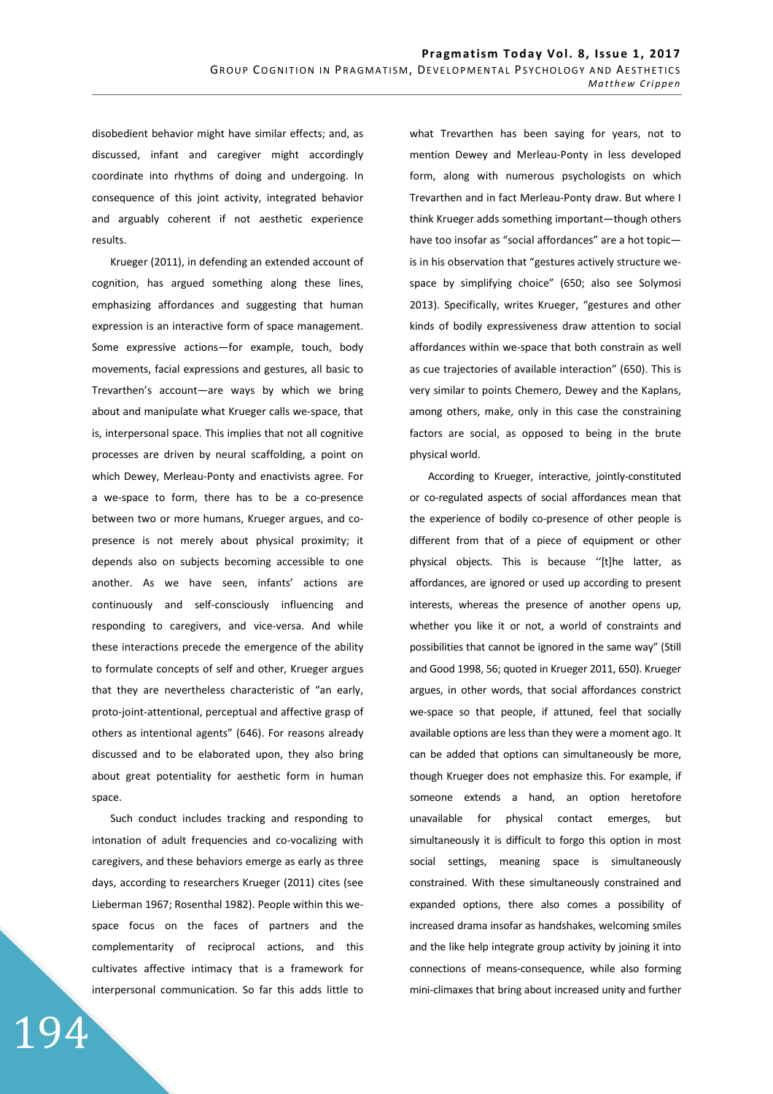disobedient behavior might have similar effects; and, as discussed, infant and caregiver might accordingly coordinate into rhythms of doing and undergoing. In consequence of this joint activity, integrated behavior and arguably coherent if not aesthetic experience results.

Krueger (2011), in defending an extended account of cognition, has argued something along these lines, emphasizing affordances and suggesting that human expression is an interactive form of space management. Some expressive actions—for example, touch, body movements, facial expressions and gestures, all basic to Trevarthen's account—are ways by which we bring about and manipulate what Krueger calls we-space, that is, interpersonal space. This implies that not all cognitive processes are driven by neural scaffolding, a point on which Dewey, Merleau-Ponty and enactivists agree. For a we-space to form, there has to be a co-presence between two or more humans, Krueger argues, and copresence is not merely about physical proximity; it depends also on subjects becoming accessible to one another. As we have seen, infants' actions are continuously and self-consciously influencing and responding to caregivers, and vice-versa. And while these interactions precede the emergence of the ability to formulate concepts of self and other, Krueger argues that they are nevertheless characteristic of "an early, proto-joint-attentional, perceptual and affective grasp of others as intentional agents" (646). For reasons already discussed and to be elaborated upon, they also bring about great potentiality for aesthetic form in human space.

Such conduct includes tracking and responding to intonation of adult frequencies and co-vocalizing with caregivers, and these behaviors emerge as early as three days, according to researchers Krueger (2011) cites (see Lieberman 1967; Rosenthal 1982). People within this wespace focus on the faces of partners and the complementarity of reciprocal actions, and this cultivates affective intimacy that is a framework for interpersonal communication. So far this adds little to

194

what Trevarthen has been saying for years, not to mention Dewey and Merleau-Ponty in less developed form, along with numerous psychologists on which Trevarthen and in fact Merleau-Ponty draw. But where I think Krueger adds something important—though others have too insofar as "social affordances" are a hot topic is in his observation that "gestures actively structure wespace by simplifying choice" (650; also see Solymosi 2013). Specifically, writes Krueger, "gestures and other kinds of bodily expressiveness draw attention to social affordances within we-space that both constrain as well as cue trajectories of available interaction" (650). This is very similar to points Chemero, Dewey and the Kaplans, among others, make, only in this case the constraining factors are social, as opposed to being in the brute physical world.

According to Krueger, interactive, jointly-constituted or co-regulated aspects of social affordances mean that the experience of bodily co-presence of other people is different from that of a piece of equipment or other physical objects. This is because ''[t]he latter, as affordances, are ignored or used up according to present interests, whereas the presence of another opens up, whether you like it or not, a world of constraints and possibilities that cannot be ignored in the same way" (Still and Good 1998, 56; quoted in Krueger 2011, 650). Krueger argues, in other words, that social affordances constrict we-space so that people, if attuned, feel that socially available options are less than they were a moment ago. It can be added that options can simultaneously be more, though Krueger does not emphasize this. For example, if someone extends a hand, an option heretofore unavailable for physical contact emerges, but simultaneously it is difficult to forgo this option in most social settings, meaning space is simultaneously constrained. With these simultaneously constrained and expanded options, there also comes a possibility of increased drama insofar as handshakes, welcoming smiles and the like help integrate group activity by joining it into connections of means-consequence, while also forming mini-climaxes that bring about increased unity and further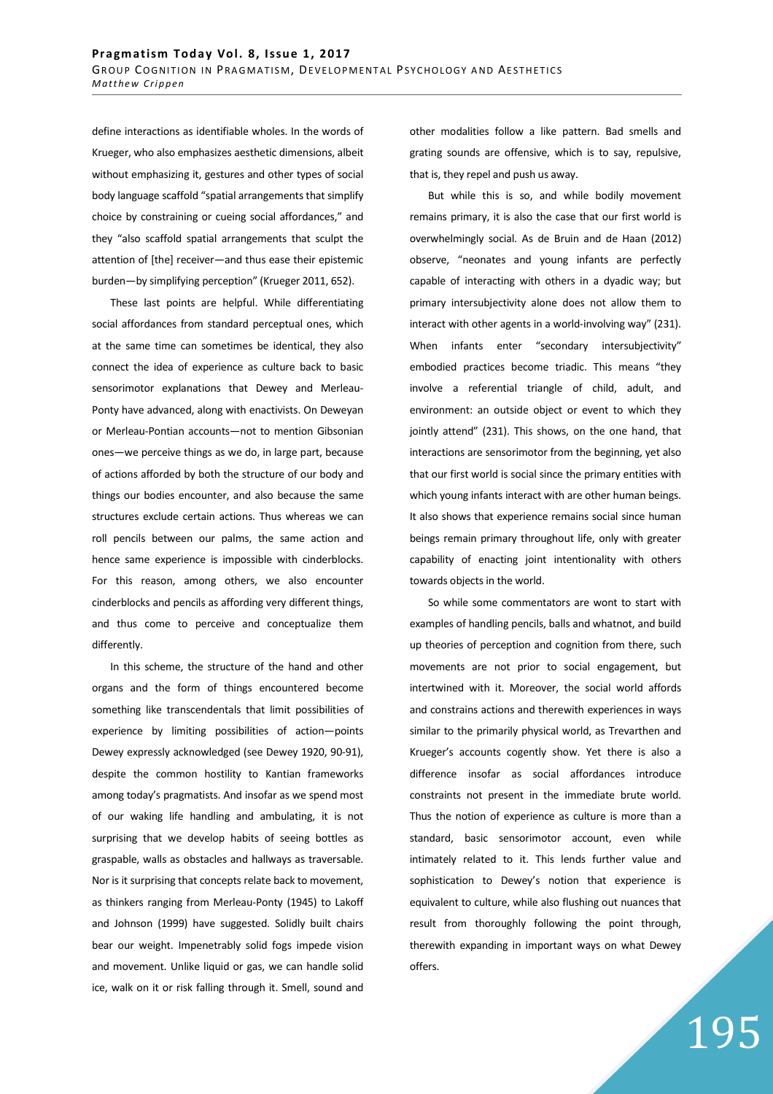define interactions as identifiable wholes. In the words of Krueger, who also emphasizes aesthetic dimensions, albeit without emphasizing it, gestures and other types of social body language scaffold "spatial arrangements that simplify choice by constraining or cueing social affordances," and they "also scaffold spatial arrangements that sculpt the attention of [the] receiver—and thus ease their epistemic burden—by simplifying perception" (Krueger 2011, 652).

These last points are helpful. While differentiating social affordances from standard perceptual ones, which at the same time can sometimes be identical, they also connect the idea of experience as culture back to basic sensorimotor explanations that Dewey and Merleau-Ponty have advanced, along with enactivists. On Deweyan or Merleau-Pontian accounts—not to mention Gibsonian ones—we perceive things as we do, in large part, because of actions afforded by both the structure of our body and things our bodies encounter, and also because the same structures exclude certain actions. Thus whereas we can roll pencils between our palms, the same action and hence same experience is impossible with cinderblocks. For this reason, among others, we also encounter cinderblocks and pencils as affording very different things, and thus come to perceive and conceptualize them differently.

In this scheme, the structure of the hand and other organs and the form of things encountered become something like transcendentals that limit possibilities of experience by limiting possibilities of action—points Dewey expressly acknowledged (see Dewey 1920, 90-91), despite the common hostility to Kantian frameworks among today's pragmatists. And insofar as we spend most of our waking life handling and ambulating, it is not surprising that we develop habits of seeing bottles as graspable, walls as obstacles and hallways as traversable. Nor is it surprising that concepts relate back to movement, as thinkers ranging from Merleau-Ponty (1945) to Lakoff and Johnson (1999) have suggested. Solidly built chairs bear our weight. Impenetrably solid fogs impede vision and movement. Unlike liquid or gas, we can handle solid ice, walk on it or risk falling through it. Smell, sound and other modalities follow a like pattern. Bad smells and grating sounds are offensive, which is to say, repulsive, that is, they repel and push us away.

But while this is so, and while bodily movement remains primary, it is also the case that our first world is overwhelmingly social. As de Bruin and de Haan (2012) observe, "neonates and young infants are perfectly capable of interacting with others in a dyadic way; but primary intersubjectivity alone does not allow them to interact with other agents in a world-involving way" (231). When infants enter "secondary intersubjectivity" embodied practices become triadic. This means "they involve a referential triangle of child, adult, and environment: an outside object or event to which they jointly attend" (231). This shows, on the one hand, that interactions are sensorimotor from the beginning, yet also that our first world is social since the primary entities with which young infants interact with are other human beings. It also shows that experience remains social since human beings remain primary throughout life, only with greater capability of enacting joint intentionality with others towards objects in the world.

So while some commentators are wont to start with examples of handling pencils, balls and whatnot, and build up theories of perception and cognition from there, such movements are not prior to social engagement, but intertwined with it. Moreover, the social world affords and constrains actions and therewith experiences in ways similar to the primarily physical world, as Trevarthen and Krueger's accounts cogently show. Yet there is also a difference insofar as social affordances introduce constraints not present in the immediate brute world. Thus the notion of experience as culture is more than a standard, basic sensorimotor account, even while intimately related to it. This lends further value and sophistication to Dewey's notion that experience is equivalent to culture, while also flushing out nuances that result from thoroughly following the point through, therewith expanding in important ways on what Dewey offers.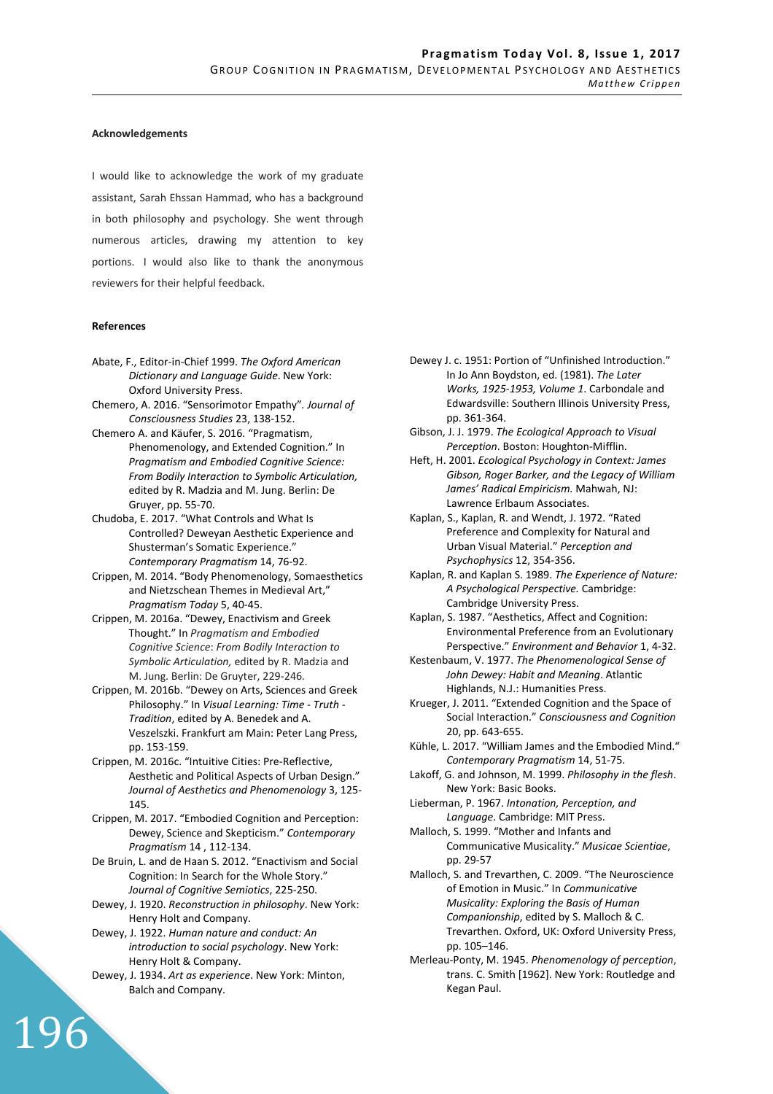## **Acknowledgements**

I would like to acknowledge the work of my graduate assistant, Sarah Ehssan Hammad, who has a background in both philosophy and psychology. She went through numerous articles, drawing my attention to key portions. I would also like to thank the anonymous reviewers for their helpful feedback.

#### **References**

- Abate, F., Editor-in-Chief 1999. *The Oxford American Dictionary and Language Guide*. New York: Oxford University Press.
- Chemero, A. 2016. "Sensorimotor Empathy"*. Journal of Consciousness Studies* 23, 138-152.
- Chemero A. and Käufer, S. 2016. "Pragmatism, Phenomenology, and Extended Cognition." In *Pragmatism and Embodied Cognitive Science: From Bodily Interaction to Symbolic Articulation,*  edited by R. Madzia and M. Jung. Berlin: De Gruyer, pp. 55-70.
- Chudoba, E. 2017. "What Controls and What Is Controlled? Deweyan Aesthetic Experience and Shusterman's Somatic Experience." *Contemporary Pragmatism* 14, 76-92.
- Crippen, M. 2014. "Body Phenomenology, Somaesthetics and Nietzschean Themes in Medieval Art," *Pragmatism Today* 5, 40-45.
- Crippen, M. 2016a. "Dewey, Enactivism and Greek Thought." In *Pragmatism and Embodied Cognitive Science*: *From Bodily Interaction to Symbolic Articulation,* edited by R. Madzia and M. Jung. Berlin: De Gruyter, 229-246*.*
- Crippen, M. 2016b. "Dewey on Arts, Sciences and Greek Philosophy." In *Visual Learning: Time - Truth - Tradition*, edited by A. Benedek and A. Veszelszki. Frankfurt am Main: Peter Lang Press, pp. 153-159.
- Crippen, M. 2016c. "Intuitive Cities: Pre-Reflective, Aesthetic and Political Aspects of Urban Design." *Journal of Aesthetics and Phenomenology* 3, 125- 145.
- Crippen, M. 2017. "Embodied Cognition and Perception: Dewey, Science and Skepticism." *Contemporary Pragmatism* 14 , 112-134.
- De Bruin, L. and de Haan S. 2012. "Enactivism and Social Cognition: In Search for the Whole Story." *Journal of Cognitive Semiotics*, 225-250.
- Dewey, J. 1920. *Reconstruction in philosophy*. New York: Henry Holt and Company.
- Dewey, J. 1922. *Human nature and conduct: An introduction to social psychology*. New York: Henry Holt & Company.
- Dewey, J. 1934. *Art as experience*. New York: Minton, Balch and Company.

- Dewey J. c. 1951: Portion of "Unfinished Introduction." In Jo Ann Boydston, ed. (1981). *The Later Works, 1925-1953, Volume 1*. Carbondale and Edwardsville: Southern Illinois University Press, pp. 361-364.
- Gibson, J. J. 1979. *The Ecological Approach to Visual Perception*. Boston: Houghton-Mifflin.
- Heft, H. 2001. *Ecological Psychology in Context: James Gibson, Roger Barker, and the Legacy of William James' Radical Empiricism.* Mahwah, NJ: Lawrence Erlbaum Associates.
- Kaplan, S., Kaplan, R. and Wendt, J. 1972. "Rated Preference and Complexity for Natural and Urban Visual Material." *Perception and Psychophysics* 12, 354-356.
- Kaplan, R. and Kaplan S. 1989. *The Experience of Nature: A Psychological Perspective.* Cambridge: Cambridge University Press.
- Kaplan, S. 1987. "Aesthetics, Affect and Cognition: Environmental Preference from an Evolutionary Perspective." *Environment and Behavior* 1, 4-32.
- Kestenbaum, V. 1977. *The Phenomenological Sense of John Dewey: Habit and Meaning*. Atlantic Highlands, N.J.: Humanities Press.
- Krueger, J. 2011. "Extended Cognition and the Space of Social Interaction." *Consciousness and Cognition*  20, pp. 643-655.
- Kühle, L. 2017. "William James and the Embodied Mind." *Contemporary Pragmatism* 14, 51-75.
- Lakoff, G. and Johnson, M. 1999. *Philosophy in the flesh*. New York: Basic Books.
- Lieberman, P. 1967. *Intonation, Perception, and Language*. Cambridge: MIT Press.
- Malloch, S. 1999. "Mother and Infants and Communicative Musicality." *Musicae Scientiae*, pp. 29-57
- Malloch, S. and Trevarthen, C. 2009. "The Neuroscience of Emotion in Music." In *Communicative Musicality: Exploring the Basis of Human Companionship*, edited by S. Malloch & C. Trevarthen. Oxford, UK: Oxford University Press, pp. 105–146.
- Merleau-Ponty, M. 1945. *Phenomenology of perception*, trans. C. Smith [1962]. New York: Routledge and Kegan Paul.